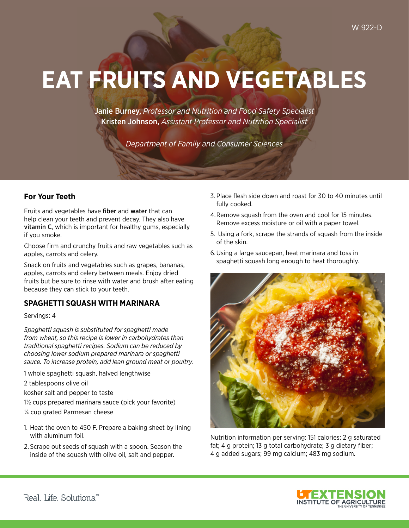# **EAT FRUITS AND VEGETABLES**

Janie Burney, *Professor and Nutrition and Food Safety Specialist*  Kristen Johnson, *Assistant Professor and Nutrition Specialist* 

*Department of Family and Consumer Sciences* 

### **For Your Teeth**

Fruits and vegetables have **fiber** and **water** that can help clean your teeth and prevent decay. They also have vitamin C, which is important for healthy gums, especially if you smoke.

Choose frm and crunchy fruits and raw vegetables such as apples, carrots and celery.

Snack on fruits and vegetables such as grapes, bananas, apples, carrots and celery between meals. Enjoy dried fruits but be sure to rinse with water and brush after eating because they can stick to your teeth.

### **SPAGHETTI SQUASH WITH MARINARA**

Servings: 4

*Spaghetti squash is substituted for spaghetti made from wheat, so this recipe is lower in carbohydrates than traditional spaghetti recipes. Sodium can be reduced by choosing lower sodium prepared marinara or spaghetti sauce. To increase protein, add lean ground meat or poultry.* 

1 whole spaghetti squash, halved lengthwise

2 tablespoons olive oil

kosher salt and pepper to taste

 $1\frac{1}{2}$  cups prepared marinara sauce (pick your favorite)

 $\frac{1}{4}$  cup grated Parmesan cheese

- 1. Heat the oven to 450 F. Prepare a baking sheet by lining with aluminum foil.
- 2. Scrape out seeds of squash with a spoon. Season the inside of the squash with olive oil, salt and pepper.
- 3. Place flesh side down and roast for 30 to 40 minutes until fully cooked.
- 4.Remove squash from the oven and cool for 15 minutes. Remove excess moisture or oil with a paper towel.
- 5. Using a fork, scrape the strands of squash from the inside of the skin.
- 6.Using a large saucepan, heat marinara and toss in spaghetti squash long enough to heat thoroughly.



Nutrition information per serving: 151 calories; 2 g saturated fat; 4 g protein; 13 g total carbohydrate; 3 g dietary fiber; 4 g added sugars; 99 mg calcium; 483 mg sodium.